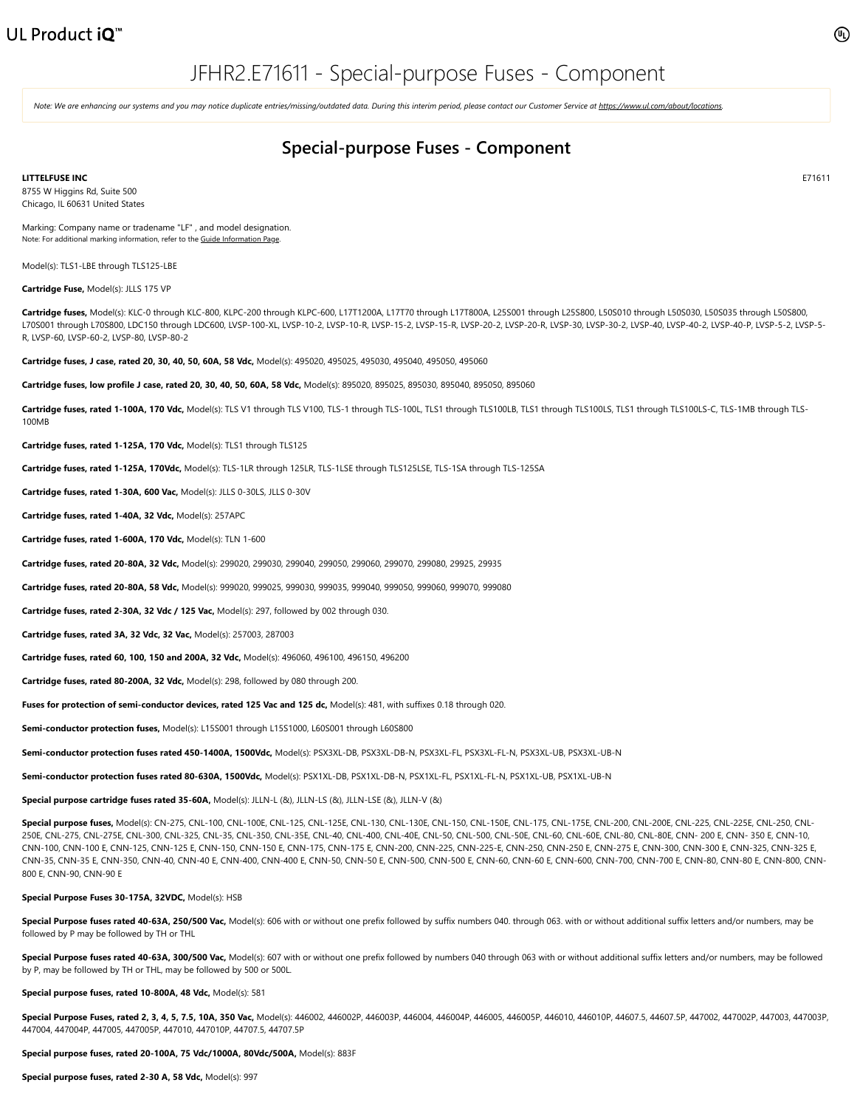Note: We are enhancing our systems and you may notice duplicate entries/missing/outdated data. During this interim period, please contact our Customer Service at [https://www.ul.com/about/locations.](https://www.ul.com/about/locations)

## **Special-purpose Fuses - Component**

**LITTELFUSE INC**

8755 W Higgins Rd, Suite 500 Chicago, IL 60631 United States

Marking: Company name or tradename "LF" , and model designation. Note: For additional marking information, refer to the Guide [Information](https://iq.ulprospector.com/en/profile?e=208705) Page.

Model(s): TLS1-LBE through TLS125-LBE

**Cartridge Fuse,** Model(s): JLLS 175 VP

Cartridge fuses, Model(s): KLC-0 through KLC-800, KLPC-200 through KLPC-600, L17T1200A, L17T70 through L17T800A, L25S001 through L25S800, L50S010 through L50S030, L50S035 through L50S800, L70S001 through L70S800, LDC150 through LDC600, LVSP-100-XL, LVSP-10-2, LVSP-10-R, LVSP-15-2, LVSP-15-R, LVSP-20-2, LVSP-20-R, LVSP-30, LVSP-30-2, LVSP-40, LVSP-40-2, LVSP-40-P, LVSP-5-2, LVSP-5- R, LVSP-60, LVSP-60-2, LVSP-80, LVSP-80-2

**Cartridge fuses, J case, rated 20, 30, 40, 50, 60A, 58 Vdc,** Model(s): 495020, 495025, 495030, 495040, 495050, 495060

**Cartridge fuses, low profile J case, rated 20, 30, 40, 50, 60A, 58 Vdc,** Model(s): 895020, 895025, 895030, 895040, 895050, 895060

Cartridge fuses, rated 1-100A, 170 Vdc, Model(s): TLS V1 through TLS V100, TLS-1 through TLS-100L, TLS1 through TLS100LB, TLS1 through TLS100LS, TLS1 through TLS100LS-C, TLS-1MB through TLS-100MB

**Cartridge fuses, rated 1-125A, 170 Vdc,** Model(s): TLS1 through TLS125

**Cartridge fuses, rated 1-125A, 170Vdc,** Model(s): TLS-1LR through 125LR, TLS-1LSE through TLS125LSE, TLS-1SA through TLS-125SA

**Cartridge fuses, rated 1-30A, 600 Vac,** Model(s): JLLS 0-30LS, JLLS 0-30V

**Cartridge fuses, rated 1-40A, 32 Vdc,** Model(s): 257APC

**Cartridge fuses, rated 1-600A, 170 Vdc,** Model(s): TLN 1-600

**Cartridge fuses, rated 20-80A, 32 Vdc,** Model(s): 299020, 299030, 299040, 299050, 299060, 299070, 299080, 29925, 29935

**Cartridge fuses, rated 20-80A, 58 Vdc,** Model(s): 999020, 999025, 999030, 999035, 999040, 999050, 999060, 999070, 999080

**Cartridge fuses, rated 2-30A, 32 Vdc / 125 Vac,** Model(s): 297, followed by 002 through 030.

**Cartridge fuses, rated 3A, 32 Vdc, 32 Vac,** Model(s): 257003, 287003

**Cartridge fuses, rated 60, 100, 150 and 200A, 32 Vdc,** Model(s): 496060, 496100, 496150, 496200

**Cartridge fuses, rated 80-200A, 32 Vdc,** Model(s): 298, followed by 080 through 200.

**Fuses for protection of semi-conductor devices, rated 125 Vac and 125 dc,** Model(s): 481, with suffixes 0.18 through 020.

**Semi-conductor protection fuses,** Model(s): L15S001 through L15S1000, L60S001 through L60S800

**Semi-conductor protection fuses rated 450-1400A, 1500Vdc,** Model(s): PSX3XL-DB, PSX3XL-DB-N, PSX3XL-FL, PSX3XL-FL-N, PSX3XL-UB, PSX3XL-UB-N

**Semi-conductor protection fuses rated 80-630A, 1500Vdc,** Model(s): PSX1XL-DB, PSX1XL-DB-N, PSX1XL-FL, PSX1XL-FL-N, PSX1XL-UB, PSX1XL-UB-N

**Special purpose cartridge fuses rated 35-60A,** Model(s): JLLN-L (&), JLLN-LS (&), JLLN-LSE (&), JLLN-V (&)

Special purpose fuses, Model(s): CN-275, CNL-100, CNL-100E, CNL-125, CNL-125E, CNL-130, CNL-130E, CNL-150, CNL-150E, CNL-175, CNL-175E, CNL-175E, CNL-200E, CNL-200E, CNL-225E, CNL-225E, CNL-225E, CNL-225E, CNL-225E, CNL-25 250E, CNL-275, CNL-275E, CNL-300, CNL-325, CNL-35, CNL-350, CNL-35E, CNL-40, CNL-400, CNL-40E, CNL-50, CNL-500, CNL-50E, CNL-60, CNL-60E, CNL-80, CNL-80E, CNN- 200 E, CNN- 350 E, CNN-10, CNN-100, CNN-100 E, CNN-125, CNN-125 E, CNN-150, CNN-150 E, CNN-175, CNN-175 E, CNN-200, CNN-225, CNN-225-E, CNN-250, CNN-250 E, CNN-275 E, CNN-300, CNN-300 E, CNN-325, CNN-325 E, CNN-35, CNN-35 E, CNN-350, CNN-40, CNN-40 E, CNN-400, CNN-400 E, CNN-50, CNN-50 E, CNN-500, CNN-500 E, CNN-60, CNN-60 E, CNN-600, CNN-700, CNN-700 E, CNN-80, CNN-80 E, CNN-800, CNN-800 E, CNN-90, CNN-90 E

## **Special Purpose Fuses 30-175A, 32VDC,** Model(s): HSB

**Special Purpose fuses rated 40-63A, 250/500 Vac.** Model(s): 606 with or without one prefix followed by suffix numbers 040, through 063, with or without additional suffix letters and/or numbers, may be followed by P may be followed by TH or THL

Special Purpose fuses rated 40-63A, 300/500 Vac, Model(s): 607 with or without one prefix followed by numbers 040 through 063 with or without additional suffix letters and/or numbers, may be followed by P, may be followed by TH or THL, may be followed by 500 or 500L.

## **Special purpose fuses, rated 10-800A, 48 Vdc,** Model(s): 581

Special Purpose Fuses, rated 2, 3, 4, 5, 7.5, 10A, 350 Vac, Model(s): 446002, 446002P, 446003P, 446004P, 446004P, 446005P, 446010, 446010P, 446017.5P, 44607.5P, 447002, 447002P, 447003P, 447002, 447002, 447003P, 447003P, 4 447004, 447004P, 447005, 447005P, 447010, 447010P, 44707.5, 44707.5P

## **Special purpose fuses, rated 20-100A, 75 Vdc/1000A, 80Vdc/500A,** Model(s): 883F

**Special purpose fuses, rated 2-30 A, 58 Vdc,** Model(s): 997

E71611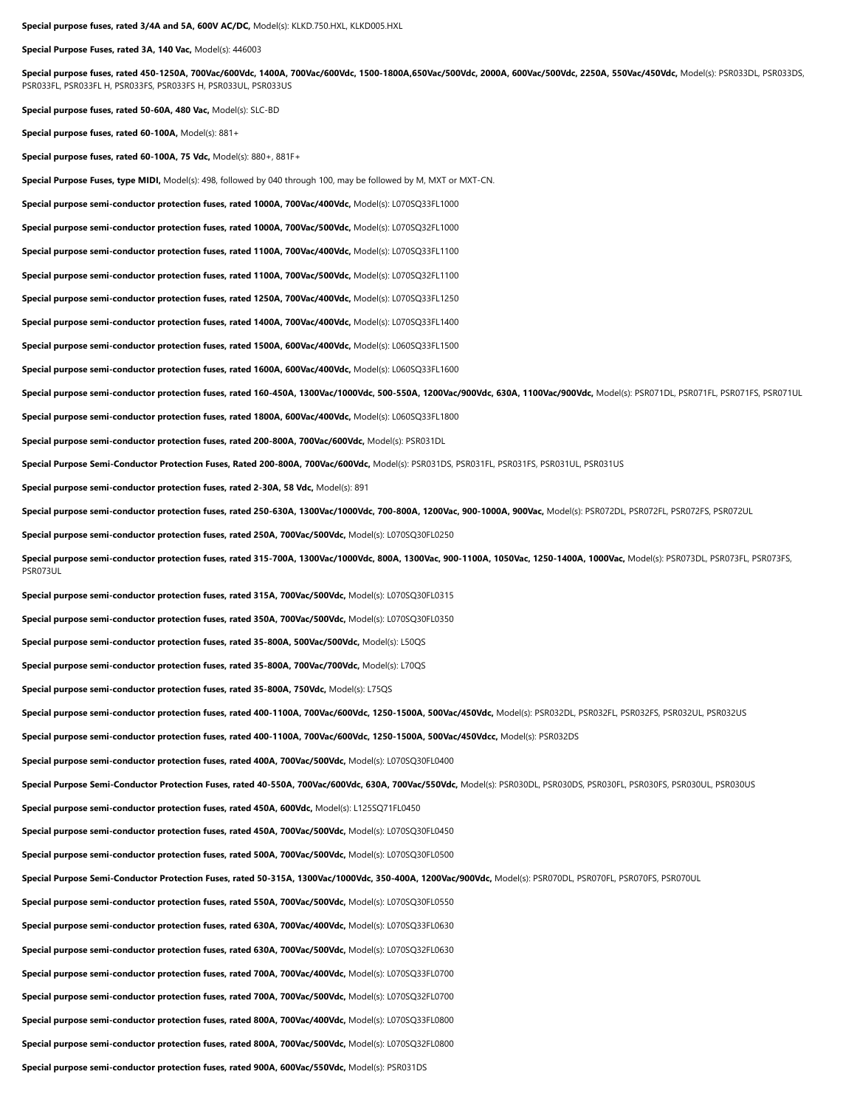**Special Purpose Fuses, rated 3A, 140 Vac,** Model(s): 446003

**Special purpose fuses, rated 450-1250A, 700Vac/600Vdc, 1400A, 700Vac/600Vdc, 1500-1800A,650Vac/500Vdc, 2000A, 600Vac/500Vdc, 2250A, 550Vac/450Vdc,** Model(s): PSR033DL, PSR033DS, PSR033FL, PSR033FL H, PSR033FS, PSR033FS H, PSR033UL, PSR033US

**Special purpose fuses, rated 50-60A, 480 Vac,** Model(s): SLC-BD

**Special purpose fuses, rated 60-100A,** Model(s): 881+

**Special purpose fuses, rated 60-100A, 75 Vdc,** Model(s): 880+, 881F+

**Special Purpose Fuses, type MIDI,** Model(s): 498, followed by 040 through 100, may be followed by M, MXT or MXT-CN.

**Special purpose semi-conductor protection fuses, rated 1000A, 700Vac/400Vdc,** Model(s): L070SQ33FL1000

**Special purpose semi-conductor protection fuses, rated 1000A, 700Vac/500Vdc,** Model(s): L070SQ32FL1000

**Special purpose semi-conductor protection fuses, rated 1100A, 700Vac/400Vdc,** Model(s): L070SQ33FL1100

**Special purpose semi-conductor protection fuses, rated 1100A, 700Vac/500Vdc,** Model(s): L070SQ32FL1100

**Special purpose semi-conductor protection fuses, rated 1250A, 700Vac/400Vdc,** Model(s): L070SQ33FL1250

**Special purpose semi-conductor protection fuses, rated 1400A, 700Vac/400Vdc,** Model(s): L070SQ33FL1400

**Special purpose semi-conductor protection fuses, rated 1500A, 600Vac/400Vdc,** Model(s): L060SQ33FL1500

**Special purpose semi-conductor protection fuses, rated 1600A, 600Vac/400Vdc,** Model(s): L060SQ33FL1600

Special purpose semi-conductor protection fuses, rated 160-450A, 1300Vac/1000Vdc, 500-550A, 1200Vac/900Vdc, 630A, 1100Vac/900Vdc, Model(s): PSR071DL, PSR071FL, PSR071FS, PSR071UL

**Special purpose semi-conductor protection fuses, rated 1800A, 600Vac/400Vdc,** Model(s): L060SQ33FL1800

**Special purpose semi-conductor protection fuses, rated 200-800A, 700Vac/600Vdc,** Model(s): PSR031DL

Special Purpose Semi-Conductor Protection Fuses, Rated 200-800A, 700Vac/600Vdc, Model(s): PSR031DS, PSR031FL, PSR031FS, PSR031UL, PSR031US

**Special purpose semi-conductor protection fuses, rated 2-30A, 58 Vdc,** Model(s): 891

**Special purpose semi-conductor protection fuses, rated 250-630A, 1300Vac/1000Vdc, 700-800A, 1200Vac, 900-1000A, 900Vac,** Model(s): PSR072DL, PSR072FL, PSR072FS, PSR072UL

**Special purpose semi-conductor protection fuses, rated 250A, 700Vac/500Vdc,** Model(s): L070SQ30FL0250

**Special purpose semi-conductor protection fuses, rated 315-700A, 1300Vac/1000Vdc, 800A, 1300Vac, 900-1100A, 1050Vac, 1250-1400A, 1000Vac,** Model(s): PSR073DL, PSR073FL, PSR073FS, PSR073UL

**Special purpose semi-conductor protection fuses, rated 315A, 700Vac/500Vdc,** Model(s): L070SQ30FL0315

**Special purpose semi-conductor protection fuses, rated 350A, 700Vac/500Vdc,** Model(s): L070SQ30FL0350

**Special purpose semi-conductor protection fuses, rated 35-800A, 500Vac/500Vdc,** Model(s): L50QS

**Special purpose semi-conductor protection fuses, rated 35-800A, 700Vac/700Vdc,** Model(s): L70QS

**Special purpose semi-conductor protection fuses, rated 35-800A, 750Vdc,** Model(s): L75QS

Special purpose semi-conductor protection fuses, rated 400-1100A, 700Vac/600Vdc, 1250-1500A, 500Vac/450Vdc, Model(s): PSR032DL, PSR032DL, PSR032FS, PSR032UL, PSR032UL, PSR032UL, PSR032US

**Special purpose semi-conductor protection fuses, rated 400-1100A, 700Vac/600Vdc, 1250-1500A, 500Vac/450Vdcc,** Model(s): PSR032DS

**Special purpose semi-conductor protection fuses, rated 400A, 700Vac/500Vdc,** Model(s): L070SQ30FL0400

Special Purpose Semi-Conductor Protection Fuses, rated 40-550A, 700Vac/600Vdc, 630A, 700Vac/550Vdc, Model(s): PSR030DL, PSR030DS, PSR030FL, PSR030FS, PSR030UL, PSR030UL, PSR030US

**Special purpose semi-conductor protection fuses, rated 450A, 600Vdc,** Model(s): L125SQ71FL0450

**Special purpose semi-conductor protection fuses, rated 450A, 700Vac/500Vdc,** Model(s): L070SQ30FL0450

**Special purpose semi-conductor protection fuses, rated 500A, 700Vac/500Vdc,** Model(s): L070SQ30FL0500

Special Purpose Semi-Conductor Protection Fuses, rated 50-315A, 1300Vac/1000Vdc, 350-400A, 1200Vac/900Vdc, Model(s): PSR070DL, PSR070FL, PSR070FS, PSR070UL

**Special purpose semi-conductor protection fuses, rated 550A, 700Vac/500Vdc,** Model(s): L070SQ30FL0550

**Special purpose semi-conductor protection fuses, rated 630A, 700Vac/400Vdc,** Model(s): L070SQ33FL0630

**Special purpose semi-conductor protection fuses, rated 630A, 700Vac/500Vdc,** Model(s): L070SQ32FL0630

**Special purpose semi-conductor protection fuses, rated 700A, 700Vac/400Vdc,** Model(s): L070SQ33FL0700

**Special purpose semi-conductor protection fuses, rated 700A, 700Vac/500Vdc,** Model(s): L070SQ32FL0700

**Special purpose semi-conductor protection fuses, rated 800A, 700Vac/400Vdc,** Model(s): L070SQ33FL0800

**Special purpose semi-conductor protection fuses, rated 800A, 700Vac/500Vdc,** Model(s): L070SQ32FL0800

**Special purpose semi-conductor protection fuses, rated 900A, 600Vac/550Vdc,** Model(s): PSR031DS